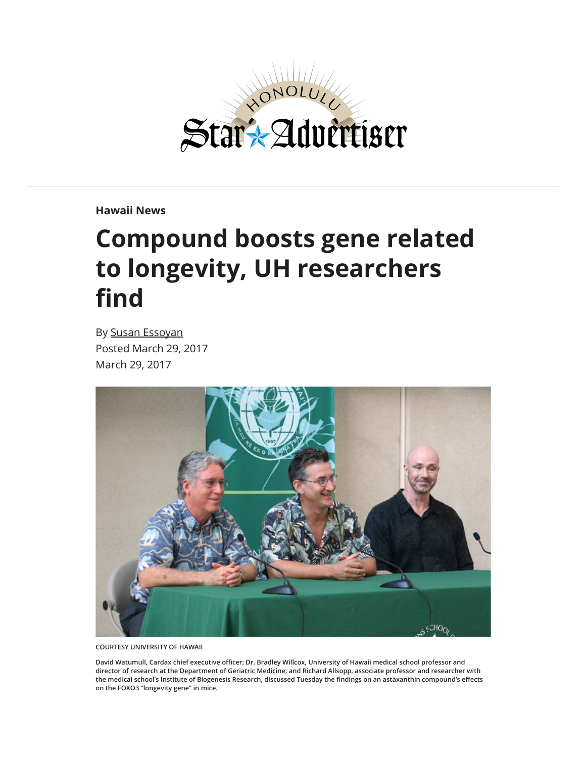

**[Hawaii News](http://www.staradvertiser.com/category/hawaii-news/)**

## **Compound boosts gene related to longevity, UH researchers** find

By [Susan Essoyan](http://www.staradvertiser.com/author/sessoyan/) Posted March 29, 2017 March 29, 2017



**COURTESY UNIVERSITY OF HAWAII**

David Watumull, Cardax chief executive officer; Dr. Bradley Willcox, University of Hawaii medical school professor and **director of research at the Department of Geriatric Medicine; and Richard Allsopp, associate professor and researcher with** the medical school's Institute of Biogenesis Research, discussed Tuesday the findings on an astaxanthin compound's effects **on the FOXO3 "longevity gene" in mice.**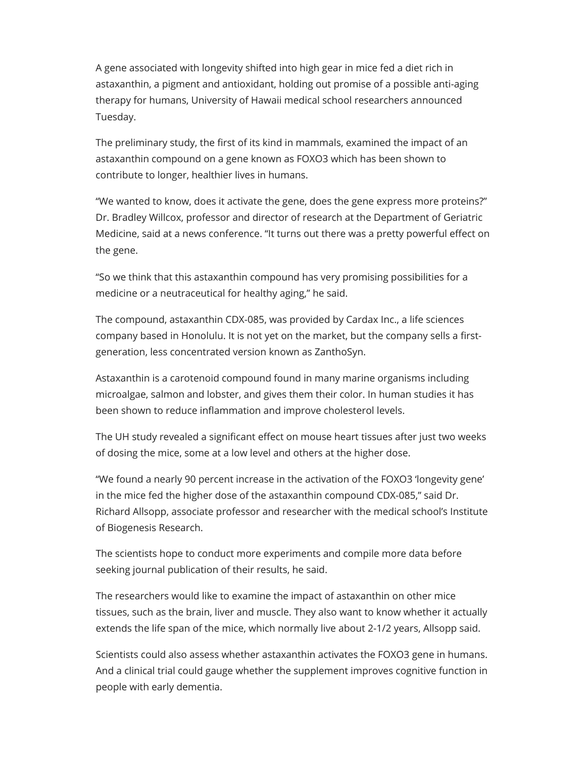A gene associated with longevity shifted into high gear in mice fed a diet rich in astaxanthin, a pigment and antioxidant, holding out promise of a possible anti-aging therapy for humans, University of Hawaii medical school researchers announced Tuesday.

The preliminary study, the first of its kind in mammals, examined the impact of an astaxanthin compound on a gene known as FOXO3 which has been shown to contribute to longer, healthier lives in humans.

"We wanted to know, does it activate the gene, does the gene express more proteins?" Dr. Bradley Willcox, professor and director of research at the Department of Geriatric Medicine, said at a news conference. "It turns out there was a pretty powerful effect on the gene.

"So we think that this astaxanthin compound has very promising possibilities for a medicine or a neutraceutical for healthy aging," he said.

The compound, astaxanthin CDX-085, was provided by Cardax Inc., a life sciences company based in Honolulu. It is not yet on the market, but the company sells a firstgeneration, less concentrated version known as ZanthoSyn.

Astaxanthin is a carotenoid compound found in many marine organisms including microalgae, salmon and lobster, and gives them their color. In human studies it has been shown to reduce inflammation and improve cholesterol levels.

The UH study revealed a significant effect on mouse heart tissues after just two weeks of dosing the mice, some at a low level and others at the higher dose.

"We found a nearly 90 percent increase in the activation of the FOXO3 'longevity gene' in the mice fed the higher dose of the astaxanthin compound CDX-085," said Dr. Richard Allsopp, associate professor and researcher with the medical school's Institute of Biogenesis Research.

The scientists hope to conduct more experiments and compile more data before seeking journal publication of their results, he said.

The researchers would like to examine the impact of astaxanthin on other mice tissues, such as the brain, liver and muscle. They also want to know whether it actually extends the life span of the mice, which normally live about 2-1/2 years, Allsopp said.

Scientists could also assess whether astaxanthin activates the FOXO3 gene in humans. And a clinical trial could gauge whether the supplement improves cognitive function in people with early dementia.